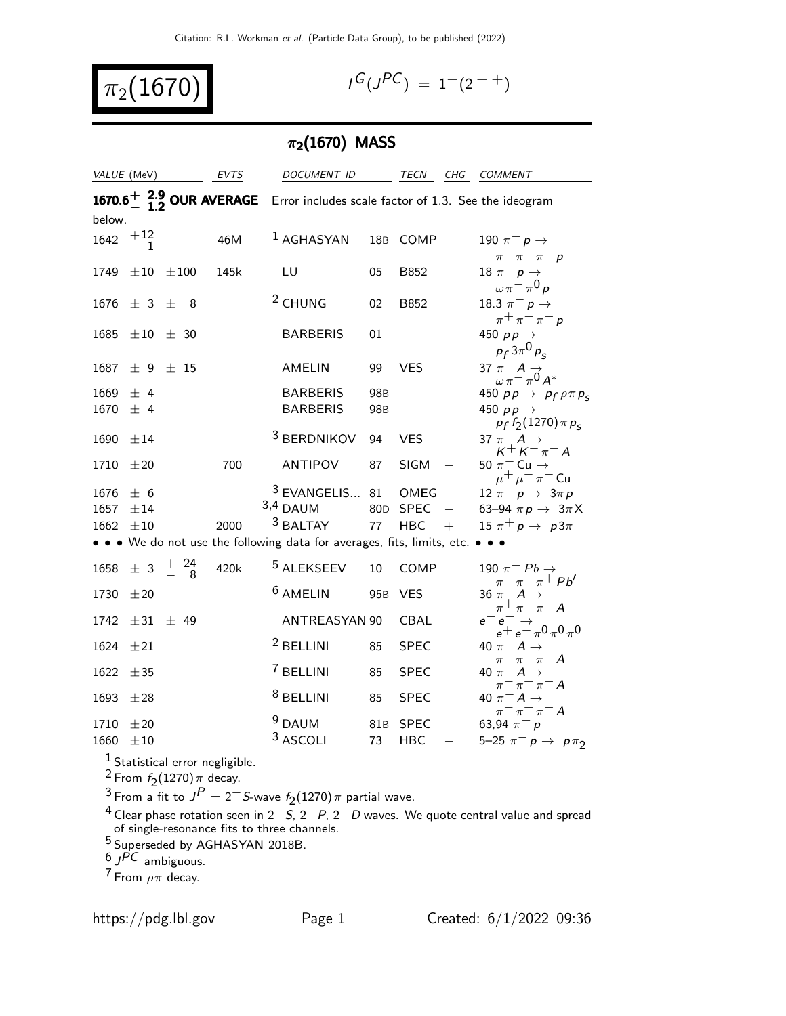$$
\pi_2(1670)
$$

$$
I^G(J^{PC}) = 1^-(2^{-+})
$$

# $\pi_2(1670)$  MASS

| VALUE (MeV)<br><b>EVTS</b>                       |                    | DOCUMENT ID           |                                            |                                                                                                                                            |                                    | TECN CHG COMMENT                   |                   |                                                                                                        |
|--------------------------------------------------|--------------------|-----------------------|--------------------------------------------|--------------------------------------------------------------------------------------------------------------------------------------------|------------------------------------|------------------------------------|-------------------|--------------------------------------------------------------------------------------------------------|
| below.                                           |                    |                       |                                            | <b>1670.6<sup>+</sup></b> 2.9 OUR AVERAGE Error includes scale factor of 1.3. See the ideogram                                             |                                    |                                    |                   |                                                                                                        |
| $\begin{array}{cc} 1642 & +12 \\ -1 \end{array}$ |                    |                       | 46M                                        | $1$ AGHASYAN                                                                                                                               | 18 <sub>B</sub>                    | COMP                               |                   | 190 $\pi^-$ p $\rightarrow$<br>$\pi^{-} \pi^{+} \pi^{-} p$                                             |
| 1749 $\pm 10$                                    |                    | $\pm\,100$            | 145k                                       | LU                                                                                                                                         | 05                                 | B852                               |                   | 18 $\pi^ \rho \rightarrow$<br>$\omega \pi = \pi^0 p$                                                   |
|                                                  | 1676 $\pm$ 3 $\pm$ | 8                     |                                            | <sup>2</sup> CHUNG                                                                                                                         | 02                                 | B852                               |                   | 18.3 $\pi^- p \to$<br>$\pi^+\pi^-\pi^-$ p                                                              |
| 1685                                             |                    | $\pm 10$ $\pm$ 30     |                                            | <b>BARBERIS</b>                                                                                                                            | 01                                 |                                    |                   | 450 $pp \rightarrow$<br>$p_f 3\pi^0 p_s$                                                               |
| 1687                                             |                    | $\pm$ 9 $\pm$ 15      |                                            | AMELIN                                                                                                                                     | 99                                 | <b>VES</b>                         |                   | 37 $\pi$ <sup>-</sup> A $\rightarrow$<br>$\omega$ $\pi$ <sup>-</sup> $\pi$ <sup>0</sup> A <sup>*</sup> |
| $1669 \pm 4$<br>1670                             | $±$ 4              |                       |                                            | <b>BARBERIS</b><br><b>BARBERIS</b>                                                                                                         | 98 <sub>B</sub><br>98 <sub>B</sub> |                                    |                   | 450 $pp \rightarrow p_f \rho \pi p_s$<br>450 $pp \rightarrow$<br>$p_f f_2(1270) \pi p_s$               |
| $1690 \pm 14$                                    |                    |                       |                                            | <sup>3</sup> BERDNIKOV                                                                                                                     | 94                                 | <b>VES</b>                         |                   | 37 $\pi^-$ A $\rightarrow$<br>$K^+ K^- \pi^- A$                                                        |
| 1710 $\pm 20$                                    |                    |                       | 700                                        | <b>ANTIPOV</b>                                                                                                                             | 87                                 | <b>SIGM</b>                        |                   | 50 $\pi^-$ Cu $\rightarrow$<br>$\mu^+ \mu^- \pi^-$ Cu                                                  |
| $1676 \pm 6$<br>1657<br>1662                     | ±14<br>$\pm 10$    |                       | 2000                                       | <sup>3</sup> EVANGELIS<br>$3,4$ DAUM<br><sup>3</sup> BALTAY<br>• • We do not use the following data for averages, fits, limits, etc. • • • | 81<br>77                           | $OMEG -$<br>80D SPEC<br><b>HBC</b> | $\equiv$<br>$+$   | $12 \pi^- p \to 3\pi p$<br>63-94 $\pi p \rightarrow 3\pi X$<br>15 $\pi^+ p \rightarrow p3\pi$          |
| 1658                                             |                    | $\pm$ 3 $^{+24}_{-8}$ | 420k                                       | <sup>5</sup> ALEKSEEV                                                                                                                      | 10                                 | COMP                               |                   | 190 $\pi^-$ Pb $\rightarrow$                                                                           |
| 1730                                             | ±20                |                       |                                            | <sup>6</sup> AMELIN                                                                                                                        | 95 <sub>B</sub>                    | <b>VES</b>                         |                   | $\pi^ \pi^ \pi^+$ <i>Pb'</i><br>36 $\pi$ <sup>-</sup> A $\rightarrow$<br>$\pi^+\pi^-\pi^-A$            |
|                                                  |                    | $1742 \pm 31 \pm 49$  |                                            | <b>ANTREASYAN 90</b>                                                                                                                       |                                    | CBAL                               |                   | $e^+e^ \rightarrow e^+e^ \pi$ 0 $\pi$ 0 $\pi$ 0                                                        |
| 1624                                             | $\pm 21$           |                       |                                            | <sup>2</sup> BELLINI                                                                                                                       | 85                                 | <b>SPEC</b>                        |                   | 40 $\pi^-$ A $\rightarrow$<br>$\pi^{-} \pi^{+} \pi^{-} A$                                              |
| 1622                                             | ±35                |                       |                                            | <sup>7</sup> BELLINI                                                                                                                       | 85                                 | <b>SPEC</b>                        |                   | 40 $\pi^- A \rightarrow$<br>$\pi^{-} \pi^{+} \pi^{-} A$                                                |
| 1693 $\pm 28$                                    |                    |                       |                                            | <sup>8</sup> BELLINI                                                                                                                       | 85                                 | <b>SPEC</b>                        |                   | 40 $\pi^- A \rightarrow$<br>$\pi^ \pi^+$ $\pi^-$ A                                                     |
| 1710 $\pm 20$<br>1660                            | $\pm 10$           | $2 - 7$               | <sup>1</sup> Statistical error negligible. | <sup>9</sup> DAUM<br>3 ASCOLI                                                                                                              | 73                                 | 81B SPEC<br><b>HBC</b>             | $\qquad \qquad -$ | 63,94 $\pi^- p$<br>5-25 $\pi^- p \to p \pi_2$                                                          |

<sup>2</sup> From  $f_2(1270)\pi$  decay.

<sup>3</sup> From a fit to  $J^P = 2^-$  S-wave  $f_2(1270)$   $\pi$  partial wave.

<sup>4</sup> Clear phase rotation seen in 2<sup>−</sup>S, 2<sup>−</sup>P, 2<sup>−</sup>D waves. We quote central value and spread of single-resonance fits to three channels.

<sup>5</sup> Superseded by AGHASYAN 2018B.

 $6$   $JPC$  ambiguous.

<sup>7</sup> From  $\rho \pi$  decay.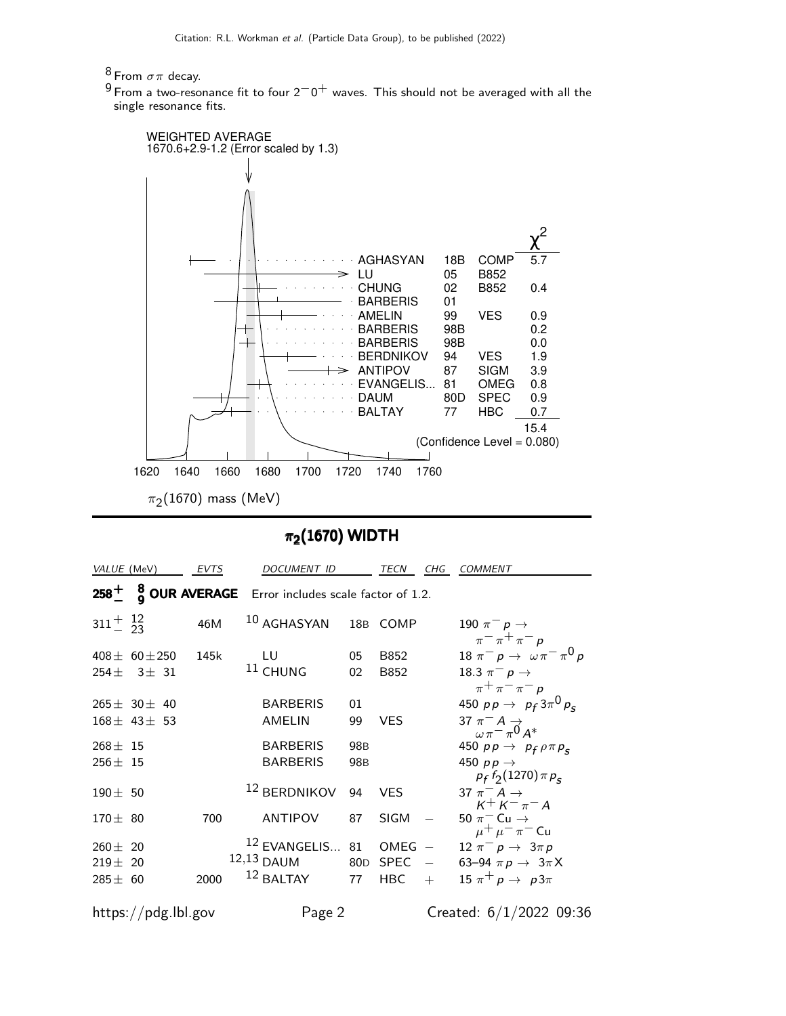#### $8$  From  $\sigma\pi$  decay.

 $9$  From a two-resonance fit to four  $2^-0^+$  waves. This should not be averaged with all the single resonance fits.



#### $\pi_2(1670)$  WIDTH

| VALUE (MeV)                  |                                   | <b>EVTS</b> | DOCUMENT ID                                       |                       | TECN                | CHG                      | <i>COMMENT</i>                                                                                |
|------------------------------|-----------------------------------|-------------|---------------------------------------------------|-----------------------|---------------------|--------------------------|-----------------------------------------------------------------------------------------------|
| $258 +$                      |                                   |             | 8 OUR AVERAGE Error includes scale factor of 1.2. |                       |                     |                          |                                                                                               |
| $311 + \frac{12}{23}$        |                                   | 46M         | 10 AGHASYAN                                       |                       | 18B COMP            |                          | 190 $\pi^-$ p $\rightarrow$<br>$\pi^ \pi^+$ $\pi^-$ p                                         |
| $254 \pm$                    | $408 \pm 60 \pm 250$<br>$3\pm$ 31 | 145k        | LU<br>$11$ CHUNG                                  | 05<br>02              | B852<br>B852        |                          | 18 $\pi^- p \to \omega \pi^- \pi^0 p$<br>18.3 $\pi^{-} p \to$                                 |
|                              | $265 \pm 30 \pm 40$               |             | <b>BARBERIS</b>                                   | 01                    |                     |                          | $\pi^{+}\pi^{-}\pi^{-}p$<br>450 $pp \to p_f 3\pi^0 p_c$                                       |
| $268 \pm 15$                 | $168 \pm 43 \pm 53$               |             | <b>AMELIN</b><br><b>BARBERIS</b>                  | 99<br>98 <sub>B</sub> | VES.                |                          | 37 $\pi^- A \rightarrow$<br>$\omega \pi = \pi^0 A^*$<br>450 $pp \rightarrow p_f \rho \pi p_s$ |
| $256 \pm 15$<br>$190 \pm 50$ |                                   |             | <b>BARBERIS</b><br><sup>12</sup> BERDNIKOV        | 98 <sub>B</sub><br>94 | <b>VES</b>          |                          | 450 $pp \rightarrow$<br>$p_f f_2(1270) \pi p_s$<br>37 $\pi^- A \rightarrow$                   |
| $170 \pm 80$                 |                                   | 700         | <b>ANTIPOV</b>                                    | 87                    | <b>SIGM</b>         |                          | $K^{+} K^{-} \pi^{-} A$<br>50 $\pi$ <sup>-</sup> Cu $\rightarrow$                             |
| $260 \pm 20$<br>$219 \pm 20$ |                                   |             | $12$ EVANGELIS 81<br>12,13 DAUM<br>12 BALTAY      | 80D                   | OMEG<br><b>SPEC</b> | $\overline{\phantom{a}}$ | $\mu^+ \mu^- \pi^-$ Cu<br>$12 \pi^- p \to 3 \pi p$<br>63-94 $\pi p \rightarrow 3\pi X$        |
| $285 \pm 60$                 |                                   | 2000        |                                                   | 77                    | <b>HBC</b>          | $+$                      | 15 $\pi^+ p \rightarrow p3\pi$                                                                |

https://pdg.lbl.gov Page 2 Created: 6/1/2022 09:36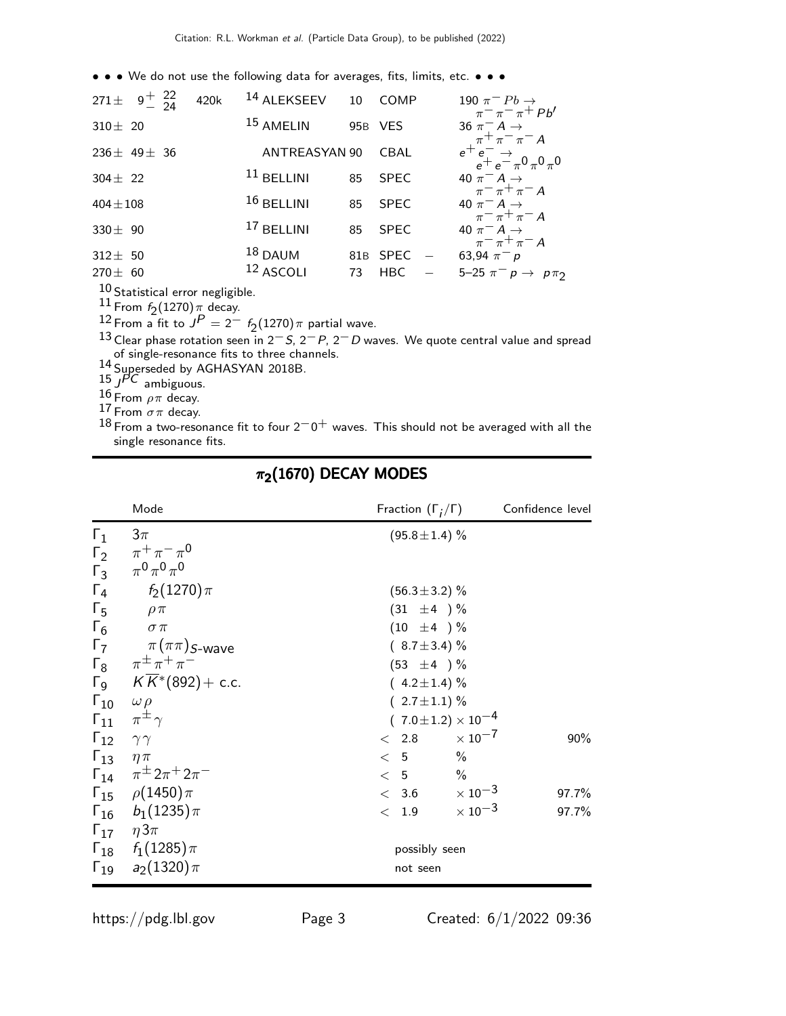• • • We do not use the following data for averages, fits, limits, etc. • • •

| 271 ± $9^{+}$ $^{22}_{-24}$  | 420k | <sup>14</sup> ALEKSEEV 10 |           | COMP               | $\frac{190 \pi^{-} Pb \rightarrow}{\pi^{-} \pi^{-} \pi^{+} Pb'}$                                    |
|------------------------------|------|---------------------------|-----------|--------------------|-----------------------------------------------------------------------------------------------------|
| $310 \pm 20$                 |      | <sup>15</sup> AMELIN      |           | 95B VES            | 36 $\pi$ <sup>-</sup> A $\rightarrow$<br>$\pi$ <sup>+</sup> $\pi$ <sup>-</sup> $\pi$ <sup>-</sup> A |
| $236 \pm 49 \pm 36$          |      | ANTREASYAN 90             |           | <b>CBAL</b>        | $e^+e^ \rightarrow$ $e^+e^ \pi^0 \pi^0 \pi^0$                                                       |
| $304 \pm 22$                 |      | $11$ BELLINI              | 85        | <b>SPEC</b>        | 40 $\pi$ <sup>-</sup> A $\rightarrow$<br>$\pi$ <sup>-</sup> $\pi$ <sup>+</sup> $\pi$ <sup>-</sup> A |
| $404 \pm 108$                |      | $16$ BELLINI              | 85        | <b>SPEC</b>        | 40 $\pi$ <sup>-</sup> A $\rightarrow$<br>$\pi$ <sup>-</sup> $\pi$ <sup>+</sup> $\pi$ <sup>-</sup> A |
| 330 $\pm$ 90                 |      | $17$ BELLINI              | 85        | <b>SPEC</b>        | 40 $\pi$ <sup>-</sup> A $\rightarrow$<br>$\pi$ <sup>-</sup> $\pi$ <sup>+</sup> $\pi$ <sup>-</sup> A |
| $312 \pm 50$<br>$270 \pm 60$ |      | $18$ DAUM<br>$12$ ASCOLI  | 81B<br>73 | SPEC<br><b>HBC</b> | 63,94 $\pi^- p$<br>5-25 $\pi^- p \to p \pi_2$                                                       |

 $10$  Statistical error negligible.

11 From  $f_2(1270)$   $\pi$  decay.

12 From a fit to  $\overline{J}^P = 2^- f_2(1270) \pi$  partial wave.<br>13 Clear phase rotation seen in 2<sup>−</sup> S, 2<sup>−</sup> P, 2<sup>−</sup> D waves. We quote central value and spread of single-resonance fits to three channels.

14 Superseded by AGHASYAN 2018B.

 $15 \int$   $PC$  ambiguous.

 $\frac{16}{15}$  From  $\rho \pi$  decay.

<sup>17</sup> From  $\sigma \pi$  decay.

18 From a two-resonance fit to four  $2^-0^+$  waves. This should not be averaged with all the single resonance fits.

|                              | Mode                                        | Fraction $(\Gamma_i/\Gamma)$   | Confidence level |  |  |  |  |  |
|------------------------------|---------------------------------------------|--------------------------------|------------------|--|--|--|--|--|
| $\Gamma_1$                   | $3\pi$                                      | $(95.8 \pm 1.4)$ %             |                  |  |  |  |  |  |
|                              | $\Gamma_2$ $\pi^+\pi^-\pi^0$                |                                |                  |  |  |  |  |  |
|                              | $\Gamma_3$ $\pi^0 \pi^0 \pi^0$              |                                |                  |  |  |  |  |  |
| $\Gamma_4$                   | $f_2(1270)\pi$                              | $(56.3 \pm 3.2)$ %             |                  |  |  |  |  |  |
| $\Gamma_5$                   | $\rho \pi$                                  | $(31 \pm 4) \%$                |                  |  |  |  |  |  |
| $\Gamma_6$                   | $\sigma \pi$                                | $(10 \pm 4) \%$                |                  |  |  |  |  |  |
|                              | $\Gamma_7$ $\pi(\pi\pi)$ <sub>S-Wave</sub>  | $(8.7 \pm 3.4)\%$              |                  |  |  |  |  |  |
|                              | $\Gamma_8 \ \ \pi^{\pm} \pi^+ \pi^-$        | $(53 \pm 4) \%$                |                  |  |  |  |  |  |
|                              | $\sqrt{K^*}$ (892) + c.c.                   | $(4.2 \pm 1.4)\%$              |                  |  |  |  |  |  |
| $\Gamma_{10}$ $\omega \rho$  |                                             | $(2.7 \pm 1.1)$ %              |                  |  |  |  |  |  |
|                              | $\Gamma_{11}$ $\pi^{\pm}$ $\gamma$          | $(7.0 \pm 1.2) \times 10^{-4}$ |                  |  |  |  |  |  |
| $\Gamma_{12}$ $\gamma\gamma$ |                                             | $< 2.8 \times 10^{-7}$         | 90%              |  |  |  |  |  |
| $\Gamma_{13}$ $\eta \pi$     |                                             | $\frac{0}{0}$<br>< 5           |                  |  |  |  |  |  |
|                              | $\Gamma_{14}$ $\pi^{\pm} 2\pi^{+} 2\pi^{-}$ | $< 5$ %                        |                  |  |  |  |  |  |
|                              | $\Gamma_{15}$ $\rho(1450)\pi$               | $< 3.6 \times 10^{-3}$         | 97.7%            |  |  |  |  |  |
|                              | $\Gamma_{16}$ $b_1(1235)\pi$                | 1.9 $\times 10^{-3}$<br>$\lt$  | 97.7%            |  |  |  |  |  |
|                              | $\Gamma_{17}$ $\eta 3\pi$                   |                                |                  |  |  |  |  |  |
|                              | $\Gamma_{18}$ $f_1(1285)\pi$                | possibly seen                  |                  |  |  |  |  |  |
|                              | $\Gamma_{19}$ $a_2(1320)\pi$                | not seen                       |                  |  |  |  |  |  |

#### $\pi_2(1670)$  DECAY MODES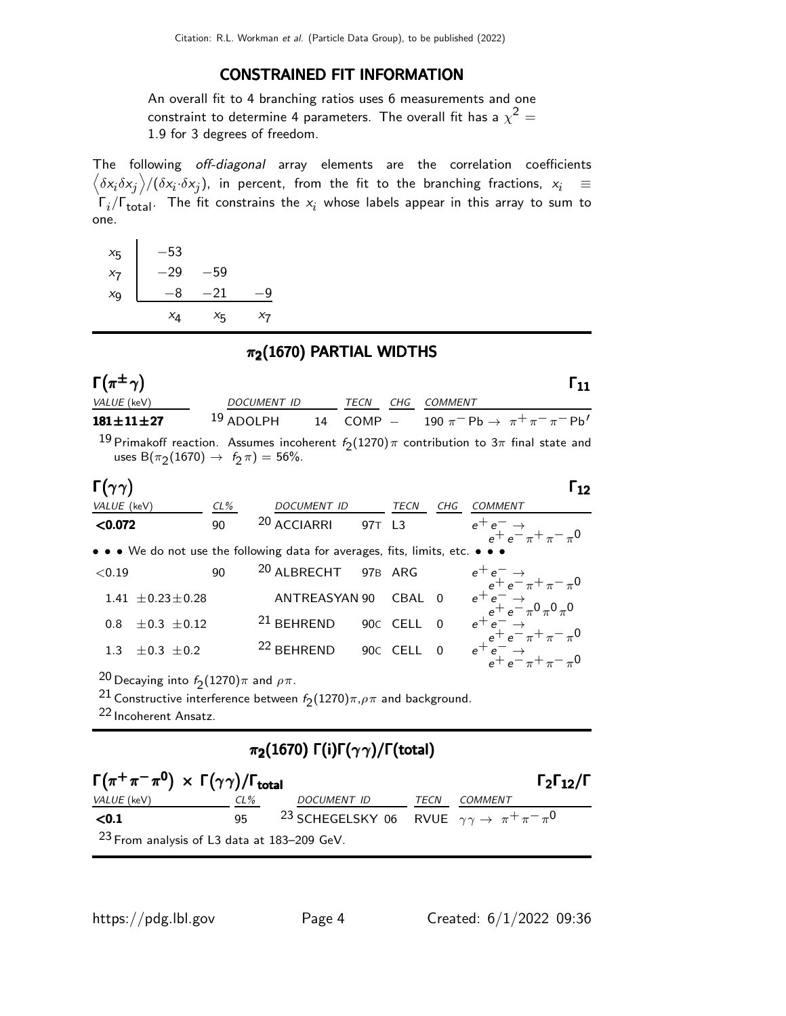#### CONSTRAINED FIT INFORMATION

An overall fit to 4 branching ratios uses 6 measurements and one constraint to determine 4 parameters. The overall fit has a  $\chi^2 =$ 1.9 for 3 degrees of freedom.

The following off-diagonal array elements are the correlation coefficients  $\left<\delta x_i\delta x_j\right>$ / $(\delta x_i\cdot\delta x_j)$ , in percent, from the fit to the branching fractions,  $x_i$   $\;\equiv$  $\Gamma_i/\Gamma_{\rm total}$ . The fit constrains the  $x_i$  whose labels appear in this array to sum to one.

| $x_{5}$ | $-53$    |                    |       |
|---------|----------|--------------------|-------|
| $x_7$   | $^{-29}$ | -59                |       |
| $x_{9}$ | -8       | $-21$              | g     |
|         | $x_4$    | $X_{\overline{5}}$ | $x_7$ |

#### $\pi_2(1670)$  PARTIAL WIDTHS

| $\Gamma(\pi^{\pm}\gamma)$                                                                                                                             |           |                                  |               |                  |          |                |                                                                                                       | $\mathsf{r}_{\mathbf{11}}$ |
|-------------------------------------------------------------------------------------------------------------------------------------------------------|-----------|----------------------------------|---------------|------------------|----------|----------------|-------------------------------------------------------------------------------------------------------|----------------------------|
| VALUE (keV)                                                                                                                                           |           | DOCUMENT ID                      |               | TECN             | CHG      | COMMENT        |                                                                                                       |                            |
| $181 \pm 11 \pm 27$                                                                                                                                   | 19 ADOLPH |                                  |               |                  |          |                | 14 COMP - 190 $\pi^-$ Pb $\rightarrow \pi^+ \pi^- \pi^-$ Pb'                                          |                            |
| uses $B(\pi_2(1670) \to f_2 \pi) = 56\%$ .                                                                                                            |           |                                  |               |                  |          |                | $^{19}$ Primakoff reaction. Assumes incoherent $f_2(1270)\pi$ contribution to 3 $\pi$ final state and |                            |
| $\Gamma(\gamma\gamma)$                                                                                                                                |           |                                  |               |                  |          |                |                                                                                                       | Г12                        |
| VALUE (keV)                                                                                                                                           | $CL\%$    |                                  |               | DOCUMENT ID TECN |          | CHG            | COMMENT                                                                                               |                            |
| < 0.072                                                                                                                                               | 90        | <sup>20</sup> ACCIARRI 97T L3    |               |                  |          |                | $e^+e^- \rightarrow$<br>$e^+e^-\pi^+\pi^-\pi^0$                                                       |                            |
| • • • We do not use the following data for averages, fits, limits, etc. • • •                                                                         |           |                                  |               |                  |          |                |                                                                                                       |                            |
| < 0.19                                                                                                                                                | 90        | <sup>20</sup> ALBRECHT 97B ARG   |               |                  |          |                | $e^+e^ \rightarrow$<br>$e^+e^ \rightarrow$ $\pi^+\pi^-\pi^0$                                          |                            |
| $1.41 \pm 0.23 \pm 0.28$                                                                                                                              |           |                                  | ANTREASYAN 90 |                  | CBAL 0   |                | $e^+e^ \rightarrow e^+e^ \pi^0 \pi^0 \pi^0$                                                           |                            |
| $0.8 \pm 0.3 \pm 0.12$                                                                                                                                |           | $21$ BEHREND                     |               |                  | 90C CELL | $\overline{0}$ | $\begin{array}{c} e^+e^-\to\\ e^+e^-\pi^+\pi^-\pi^0 \end{array}$                                      |                            |
| $\pm 0.3 \pm 0.2$<br>1.3                                                                                                                              |           | <sup>22</sup> BEHREND 90C CELL 0 |               |                  |          |                | $e^+e^ \rightarrow$<br>$e^+e^-\pi^+\pi^-\pi^0$                                                        |                            |
| <sup>20</sup> Decaying into $f_2(1270)\pi$ and $\rho\pi$ .<br><sup>21</sup> Constructive interference between $f_2(1270)\pi, \rho\pi$ and background. |           |                                  |               |                  |          |                |                                                                                                       |                            |

22 Incoherent Ansatz.

### π2(1670) Γ(i)Γ(γ γ)/Γ(total)

| $\Gamma(\pi^+\pi^-\pi^0) \times \Gamma(\gamma\gamma)/\Gamma_{\rm total}$ |        |                                                                                |      | $\Gamma_2\Gamma_{12}/\Gamma$ |
|--------------------------------------------------------------------------|--------|--------------------------------------------------------------------------------|------|------------------------------|
| VALUE (keV)                                                              | $CL\%$ | DOCUMENT ID                                                                    | TECN | <i>COMMENT</i>               |
| $0.1$                                                                    | 95     | <sup>23</sup> SCHEGELSKY 06 RVUE $\gamma \gamma \rightarrow \pi^+ \pi^- \pi^0$ |      |                              |
| $23$ From analysis of L3 data at 183–209 GeV.                            |        |                                                                                |      |                              |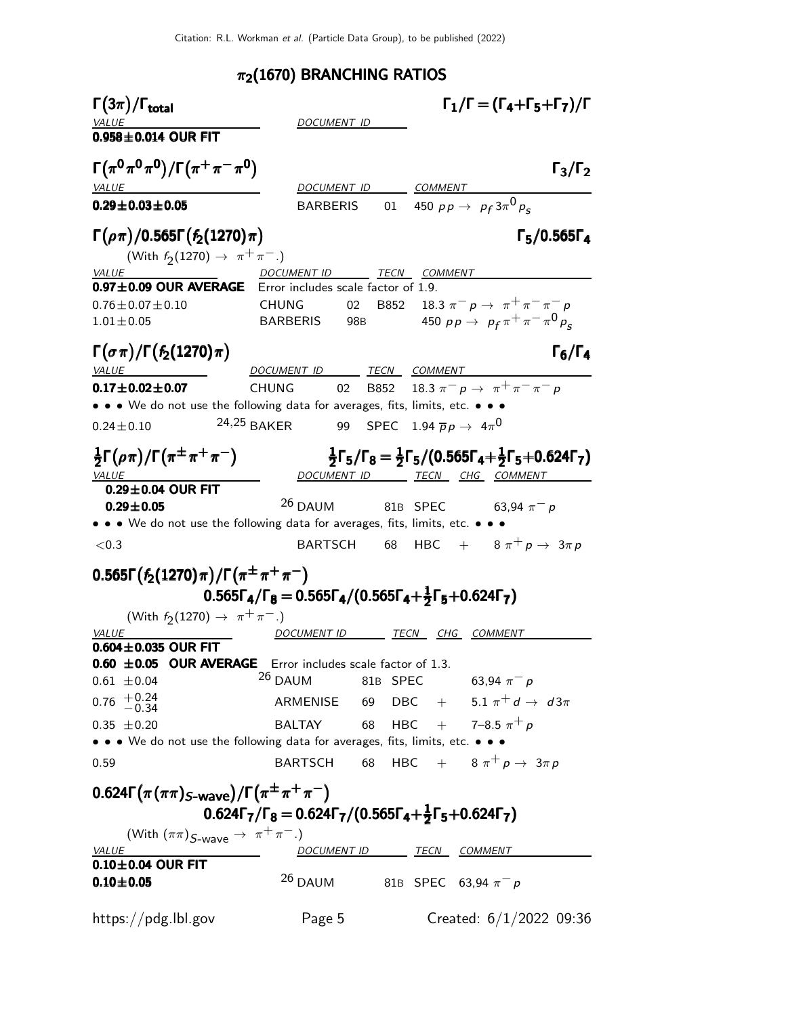#### $\pi_2$ (1670) BRANCHING RATIOS

 $\Gamma(3\pi)$ Γ $(3\pi)/\Gamma_{\text{total}}$  Γ $_1/\Gamma = (\Gamma_4 + \Gamma_5 + \Gamma_7)/\Gamma$ DOCUMENT ID  $0.958 + 0.014$  OUR FIT  $\Gamma(\pi^0 \pi^0 \pi^0) / \Gamma(\pi^+ \pi^- \pi^0)$  Γ<sub>3</sub>/Γ<sub>2</sub> Γ3/ΓVALUE DOCUMENT ID COMMENT 0.29 $\pm$ 0.03 $\pm$ 0.05 BARBERIS 01 450 pp  $\rightarrow$  p<sub>f</sub> 3 $\pi^{0}$  p<sub>s</sub>  $\Gamma(\rho \pi)$ /0.565Γ( $f_2$ (1270)π)<br>
(With  $f_2$ (1270) → π<sup>+</sup>π<sup>-</sup>.) (With  $f_2(1270) \to \pi^+ \pi^-$ .) VALUE DOCUMENT ID TECN COMMENT  $0.97\pm0.09$  OUR AVERAGE Error includes scale factor of 1.9.  $0.76 \pm 0.07 \pm 0.10$  CHUNG 02 B852 18.3  $\pi^ p \to \pi^+ \pi^- \pi^ p$ 1.01±0.05 BARBERIS 98B 450 pp →  $p_f \pi^+ \pi^- \pi^0 p_s$  $\Gamma(\sigma \pi)/\Gamma(f_2(1270)\pi)$   $\Gamma_6/\Gamma_4$  $\Gamma_6/\Gamma_4$ VALUE DOCUMENT ID TECN COMMENT **0.17±0.02±0.07** CHUNG 02 B852 18.3  $\pi^ p \to \pi^+ \pi^- \pi^ p$ • • • We do not use the following data for averages, fits, limits, etc. • • •  $0.24\pm0.10$   $24.25$   $\textsf{BAKER}$  99  $\textsf{SPEC}$  1.94  $\overline{p} \, p \, \rightarrow \, 4 \pi^0$ 1  $\frac{1}{2}$ Γ $(\rho \pi)/\Gamma(\pi^{\pm} \pi^+ \pi^-)$ 1  $\frac{1}{2}$ Γ<sub>5</sub>/Γ<sub>8</sub> =  $\frac{1}{2}$  $\frac{1}{2}$ Γ<sub>5</sub>/(0.565Γ<sub>4</sub>+ $\frac{1}{2}$  $\frac{1}{2}\Gamma(\rho\pi)/\Gamma(\pi^{\pm}\pi^{+}\pi^{-})$   $\frac{1}{2}\Gamma_{5}/\Gamma_{8} = \frac{1}{2}\Gamma_{5}/(0.565\Gamma_{4} + \frac{1}{2}\Gamma_{5} + 0.624\Gamma_{7})$ <br>VALUE COMMENT ID TECN CHG COMMENT  $0.29\pm0.04$  OUR FIT **0.29±0.05** <sup>26</sup> DAUM 81B SPEC 63,94  $\pi^-$  p • • • We do not use the following data for averages, fits, limits, etc. • • •  $<$ 0.3 BARTSCH 68 HBC +  $8 \pi^+ p \rightarrow 3 \pi p$ 0.565Γ $(f_2(1270)\pi)/\Gamma(\pi^{\pm}\pi^+\pi^-)$ 0.565Γ $_{\mathbf{4}}$ /Γ $_{\mathbf{8}}$   $=$  0.565Γ $_{\mathbf{4}}$ /(0.565Γ $_{\mathbf{4}}+{\frac{1}{2}}$  $0.565$ Γ<sub>4</sub>/Γ<sub>8</sub> = 0.565Γ<sub>4</sub>/(0.565Γ<sub>4</sub>+ $\frac{1}{2}$ Γ<sub>5</sub>+0.624Γ<sub>7</sub>) 0.565Γ4/Γ $_8 = 0.565$ Γ4/(0.565Γ4 $+\frac{1}{2}$ Γ $_5 + 0.624$ Γ $_7$ ) (With  $f_2(1270) \to \pi^+ \pi^-$ .) VALUE DOCUMENT ID TECN CHG COMMENT  $0.604 \pm 0.035$  OUR FIT  $0.60 \pm 0.05$  OUR AVERAGE Error includes scale factor of 1.3.  $0.61 \pm 0.04$  26 DAUM 81B SPEC 63.94  $\pi^-$  p  $0.76$   $+0.24$ <br>-0.34 ARMENISE 69 DBC + 5.1  $\pi^+ d \rightarrow d \, 3\pi$ 0.35  $\pm$  0.20 BALTAY 68 HBC + 7–8.5  $\pi^{+}$  p • • • We do not use the following data for averages, fits, limits, etc. • • • 0.59 BARTSCH 68 HBC +  $8\pi^+ p \rightarrow 3\pi p$ 0.624Γ $(\pi(\pi\pi)$ <sub>S-wave</sub>)/Γ $(\pi^{\pm}\pi^+\pi^-)$ 0.624Γ $_{7}/$ Γ $_{8} =$  0.624Γ $_{7}/$ (0.565Γ $_{4} + \frac{1}{2}$ 0.624Γ<sub>7</sub>/Γ<sub>8</sub> = 0.624Γ<sub>7</sub>/(0.565Γ<sub>4</sub>+ $\frac{1}{2}$ Γ<sub>5</sub>+0.624Γ<sub>7</sub>) 0.624Γ<sub>7</sub>/Γ<sub>8</sub> = 0.624Γ<sub>7</sub>/(0.565Γ<sub>4</sub>+ $\frac{1}{2}$ Γ<sub>5</sub>+0.624Γ<sub>7</sub>) 0.624Γ<sub>7</sub>/Γ<sub>8</sub> = 0.624Γ<sub>7</sub>/(0.565Γ<sub>4</sub>+ $\frac{1}{2}$ Γ<sub>5</sub>+0.624Γ<sub>7</sub>)  $\frac{1}{2}$ Γ<sub>5</sub>+0.624Γ<sub>7</sub>) (With  $(\pi \pi)_{S\text{-wave}} \to \pi^+ \pi^-$ .)<br>VALUE DOCUMENT ID TECN COMMENT  $0.10\pm0.04$  OUR FIT **0.10±0.05** <sup>26</sup> DAUM 81B SPEC 63,94  $\pi^- p$ https://pdg.lbl.gov Page 5 Created: 6/1/2022 09:36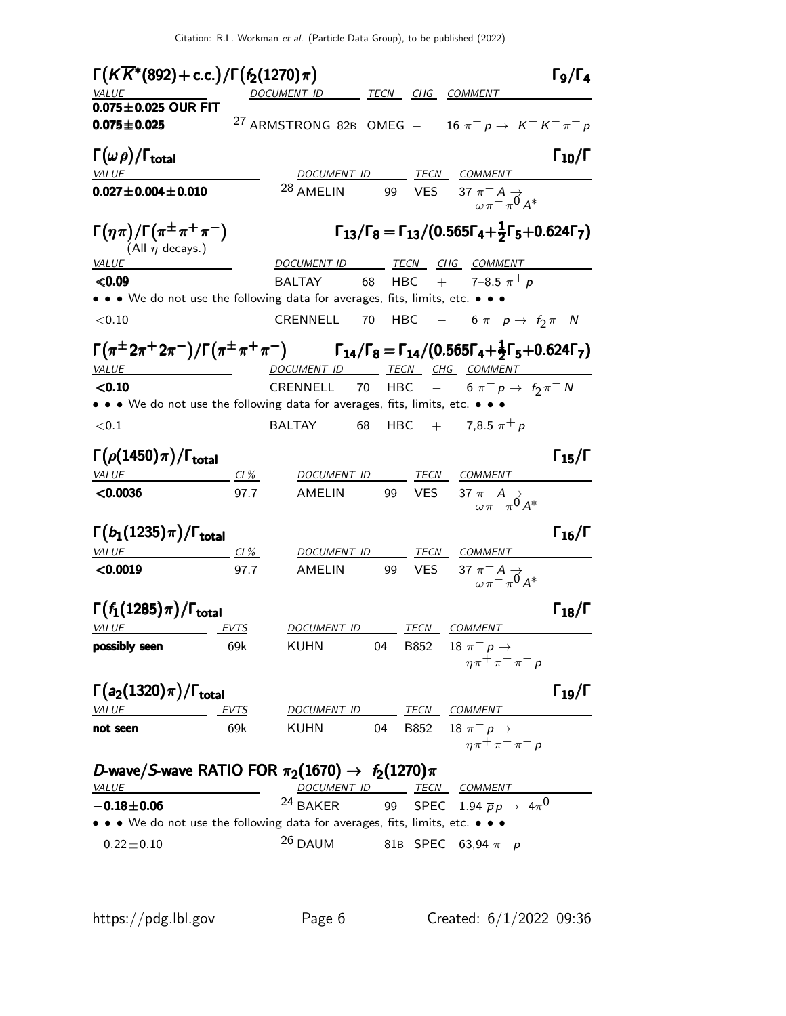| $\Gamma(K\overline{K}^*(892) + \text{c.c.})/\Gamma(f_2(1270)\pi)$                                                                                                      |             |                              |     |            |                                                                                            | $\Gamma_9/\Gamma_4$  |
|------------------------------------------------------------------------------------------------------------------------------------------------------------------------|-------------|------------------------------|-----|------------|--------------------------------------------------------------------------------------------|----------------------|
| VALUE                                                                                                                                                                  |             | DOCUMENT ID TECN CHG COMMENT |     |            |                                                                                            |                      |
| $0.075 \pm 0.025$ OUR FIT                                                                                                                                              |             |                              |     |            |                                                                                            |                      |
| $0.075 \pm 0.025$                                                                                                                                                      |             |                              |     |            | <sup>27</sup> ARMSTRONG 82B OMEG $-$ 16 $\pi^ p \rightarrow K^+ K^- \pi^- p$               |                      |
| $\Gamma(\omega \rho)/\Gamma_{\rm total}$                                                                                                                               |             |                              |     |            |                                                                                            | $\Gamma_{10}/\Gamma$ |
| VALUE                                                                                                                                                                  |             |                              |     |            | DOCUMENT ID TECN COMMENT                                                                   |                      |
| $0.027 \pm 0.004 \pm 0.010$                                                                                                                                            |             | <sup>28</sup> AMELIN         |     |            | 99 VES 37 $\pi^{-} A \rightarrow$<br>$\pi^{-} \pi^{0} A^{*}$                               |                      |
| $\Gamma(\eta\pi)/\Gamma(\pi^{\pm}\pi^+\pi^-)$<br>(All $\eta$ decays.)                                                                                                  |             |                              |     |            | $\Gamma_{13}/\Gamma_8 = \Gamma_{13}/(0.565\Gamma_4 + \frac{1}{2}\Gamma_5 + 0.624\Gamma_7)$ |                      |
| VALUE                                                                                                                                                                  |             | DOCUMENT ID TECN CHG COMMENT |     |            |                                                                                            |                      |
| < 0.09                                                                                                                                                                 |             |                              |     |            | BALTAY 68 HBC + 7-8.5 $\pi^{+} p$                                                          |                      |
| • • We do not use the following data for averages, fits, limits, etc. • • •                                                                                            |             |                              |     |            |                                                                                            |                      |
| < 0.10                                                                                                                                                                 |             | CRENNELL 70                  |     |            | HBC $- 6 \pi^- p \to f_2 \pi^- N$                                                          |                      |
| $\Gamma(\pi^{\pm}2\pi^{\mp}2\pi^{\mp})/\Gamma(\pi^{\pm}\pi^{\mp}\pi^{\mp})$ $\Gamma_{14}/\Gamma_8 = \Gamma_{14}/(0.565\Gamma_4 + \frac{1}{2}\Gamma_5 + 0.624\Gamma_7)$ |             |                              |     |            |                                                                                            |                      |
| VALUE<br><u> 1989 - Johann Barbara, martin a</u>                                                                                                                       |             | DOCUMENT ID TECN CHG COMMENT |     |            |                                                                                            |                      |
| < 0.10                                                                                                                                                                 |             | CRENNELL 70 HBC              |     |            | $- 6 \pi^- p \to f_2 \pi^- N$                                                              |                      |
| • • • We do not use the following data for averages, fits, limits, etc. • • •                                                                                          |             |                              |     |            |                                                                                            |                      |
| ${<}0.1$                                                                                                                                                               |             | <b>BALTAY</b>                | 68  |            | HBC + 7,8.5 $\pi^{+} p$                                                                    |                      |
| $\Gamma(\rho(1450)\pi)/\Gamma_{\rm total}$                                                                                                                             |             |                              |     |            |                                                                                            | $\Gamma_{15}/\Gamma$ |
| VALUE<br>$CL\%$                                                                                                                                                        |             | DOCUMENT ID                  |     |            | TEC <u>N COMMENT</u>                                                                       |                      |
| < 0.0036                                                                                                                                                               | 97.7        | AMELIN                       | 99  | <b>VES</b> | 37 $\pi^- A \rightarrow \pi^- \pi^0 A^*$                                                   |                      |
|                                                                                                                                                                        |             |                              |     |            |                                                                                            |                      |
| $\Gamma(b_1(1235)\pi)/\Gamma_{\rm total}$                                                                                                                              |             |                              |     |            |                                                                                            | $\Gamma_{16}/\Gamma$ |
| $VALUE$ CL%                                                                                                                                                            |             | DOCUMENT ID                  |     |            | <u>TECN COMMENT</u>                                                                        |                      |
| < 0.0019                                                                                                                                                               | 97.7        | AMELIN                       | 99. | VES.       | 37 $\pi^- A \rightarrow \pi^- \pi^0 A^*$                                                   |                      |
| $\Gamma(f_1(1285)\pi)/\Gamma_{\rm total}$                                                                                                                              |             |                              |     |            |                                                                                            | $\Gamma_{18}/\Gamma$ |
| <b>VALUE</b>                                                                                                                                                           | <u>EVTS</u> | DOCUMENT ID TECN COMMENT     |     |            |                                                                                            |                      |
| possibly seen                                                                                                                                                          | 69k         | KUHN                         | 04  | B852       | 18 $\pi^ p \to$                                                                            |                      |
|                                                                                                                                                                        |             |                              |     |            | $n\pi^{+}\pi^{-}\pi^{-}p$                                                                  |                      |
| $\Gamma(a_2(1320)\pi)/\Gamma_{\rm total}$                                                                                                                              |             |                              |     |            |                                                                                            | $\Gamma_{19}/\Gamma$ |
| <b>VALUE</b>                                                                                                                                                           | EVTS        | DOCUMENT ID TECN COMMENT     |     |            |                                                                                            |                      |
| not seen                                                                                                                                                               | 69k         | <b>KUHN</b>                  | 04  |            | B852 18 $\pi^- p \to$                                                                      |                      |
|                                                                                                                                                                        |             |                              |     |            | $n\pi^+\pi^-\pi^-$                                                                         |                      |
| D-wave/S-wave RATIO FOR $\pi_2(1670) \rightarrow f_2(1270)\pi$                                                                                                         |             |                              |     |            |                                                                                            |                      |
| <b>VALUE</b>                                                                                                                                                           |             |                              |     |            |                                                                                            |                      |
| $-0.18 + 0.06$                                                                                                                                                         |             |                              |     |            | DOCUMENT ID TECN COMMENT<br>24 BAKER 99 SPEC 1.94 $\overline{p}p \rightarrow 4\pi^0$       |                      |
| • • • We do not use the following data for averages, fits, limits, etc. • • •                                                                                          |             |                              |     |            |                                                                                            |                      |
| $0.22 \pm 0.10$                                                                                                                                                        |             | $26$ DAUM                    |     |            | 81B SPEC 63,94 $\pi^- p$                                                                   |                      |
|                                                                                                                                                                        |             |                              |     |            |                                                                                            |                      |